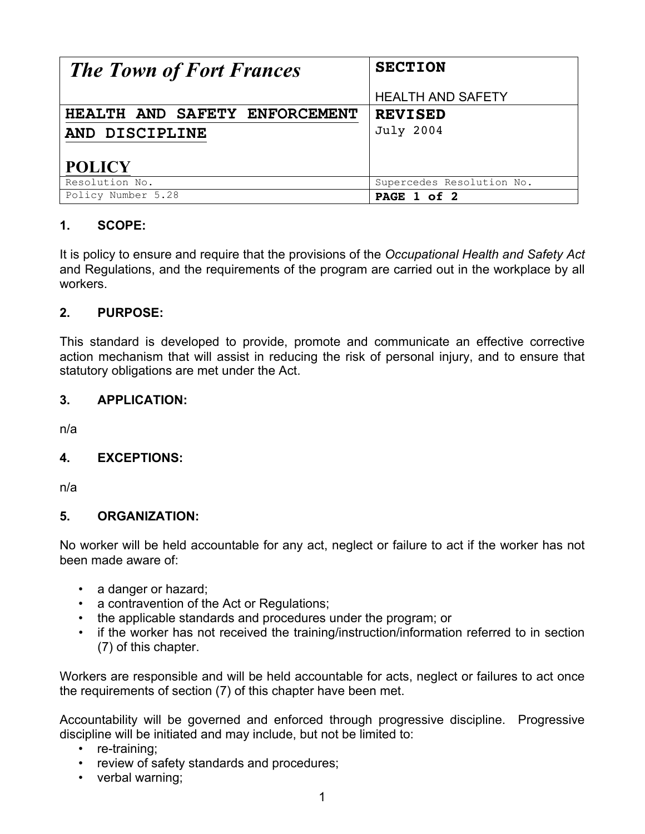| <b>The Town of Fort Frances</b> | <b>SECTION</b>            |
|---------------------------------|---------------------------|
|                                 | <b>HEALTH AND SAFETY</b>  |
| HEALTH AND SAFETY ENFORCEMENT   | <b>REVISED</b>            |
| AND DISCIPLINE                  | <b>July 2004</b>          |
|                                 |                           |
| <b>POLICY</b>                   |                           |
| Resolution No.                  | Supercedes Resolution No. |
| Policy Number 5.28              | PAGE 1 of 2               |

# **1. SCOPE:**

It is policy to ensure and require that the provisions of the *Occupational Health and Safety Act*  and Regulations, and the requirements of the program are carried out in the workplace by all workers.

## **2. PURPOSE:**

This standard is developed to provide, promote and communicate an effective corrective action mechanism that will assist in reducing the risk of personal injury, and to ensure that statutory obligations are met under the Act.

### **3. APPLICATION:**

n/a

# **4. EXCEPTIONS:**

n/a

### **5. ORGANIZATION:**

No worker will be held accountable for any act, neglect or failure to act if the worker has not been made aware of:

- a danger or hazard;
- a contravention of the Act or Regulations;
- the applicable standards and procedures under the program; or
- if the worker has not received the training/instruction/information referred to in section (7) of this chapter.

Workers are responsible and will be held accountable for acts, neglect or failures to act once the requirements of section (7) of this chapter have been met.

Accountability will be governed and enforced through progressive discipline. Progressive discipline will be initiated and may include, but not be limited to:

- re-training;
- review of safety standards and procedures;
- verbal warning;